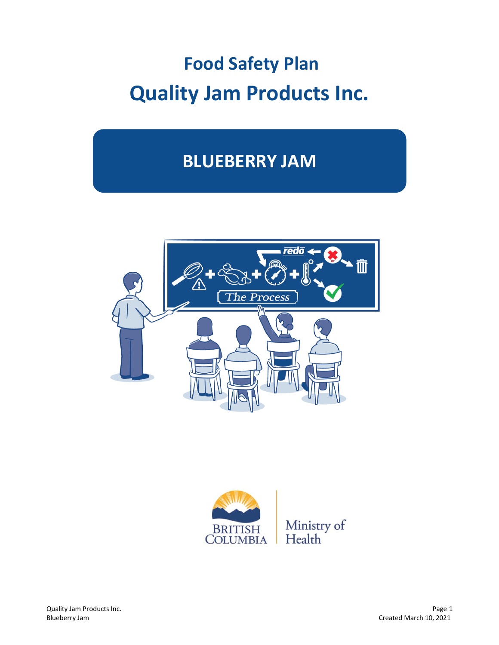# **Food Safety Plan Quality Jam Products Inc.**

## **BLUEBERRY JAM**



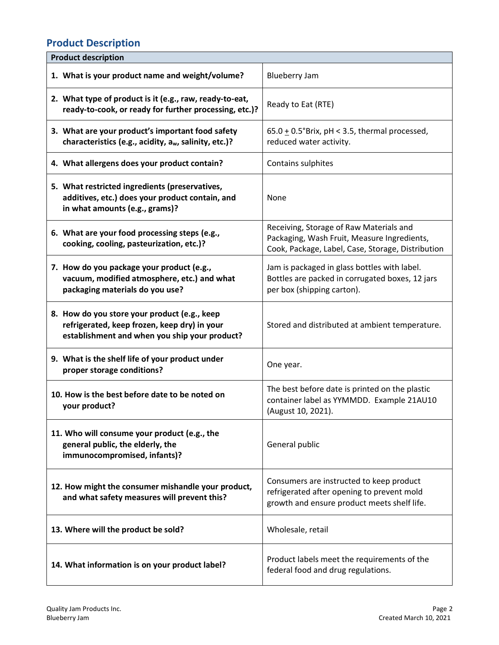#### **Product Description**

| <b>Product description</b>                                                                                                                    |                                                                                                                                             |
|-----------------------------------------------------------------------------------------------------------------------------------------------|---------------------------------------------------------------------------------------------------------------------------------------------|
| 1. What is your product name and weight/volume?                                                                                               | <b>Blueberry Jam</b>                                                                                                                        |
| 2. What type of product is it (e.g., raw, ready-to-eat,<br>ready-to-cook, or ready for further processing, etc.)?                             | Ready to Eat (RTE)                                                                                                                          |
| 3. What are your product's important food safety<br>characteristics (e.g., acidity, aw, salinity, etc.)?                                      | $65.0 \pm 0.5$ °Brix, pH < 3.5, thermal processed,<br>reduced water activity.                                                               |
| 4. What allergens does your product contain?                                                                                                  | Contains sulphites                                                                                                                          |
| 5. What restricted ingredients (preservatives,<br>additives, etc.) does your product contain, and<br>in what amounts (e.g., grams)?           | None                                                                                                                                        |
| 6. What are your food processing steps (e.g.,<br>cooking, cooling, pasteurization, etc.)?                                                     | Receiving, Storage of Raw Materials and<br>Packaging, Wash Fruit, Measure Ingredients,<br>Cook, Package, Label, Case, Storage, Distribution |
| 7. How do you package your product (e.g.,<br>vacuum, modified atmosphere, etc.) and what<br>packaging materials do you use?                   | Jam is packaged in glass bottles with label.<br>Bottles are packed in corrugated boxes, 12 jars<br>per box (shipping carton).               |
| 8. How do you store your product (e.g., keep<br>refrigerated, keep frozen, keep dry) in your<br>establishment and when you ship your product? | Stored and distributed at ambient temperature.                                                                                              |
| 9. What is the shelf life of your product under<br>proper storage conditions?                                                                 | One year.                                                                                                                                   |
| 10. How is the best before date to be noted on<br>your product?                                                                               | The best before date is printed on the plastic<br>container label as YYMMDD. Example 21AU10<br>(August 10, 2021).                           |
| 11. Who will consume your product (e.g., the<br>general public, the elderly, the<br>immunocompromised, infants)?                              | General public                                                                                                                              |
| 12. How might the consumer mishandle your product,<br>and what safety measures will prevent this?                                             | Consumers are instructed to keep product<br>refrigerated after opening to prevent mold<br>growth and ensure product meets shelf life.       |
| 13. Where will the product be sold?                                                                                                           | Wholesale, retail                                                                                                                           |
| 14. What information is on your product label?                                                                                                | Product labels meet the requirements of the<br>federal food and drug regulations.                                                           |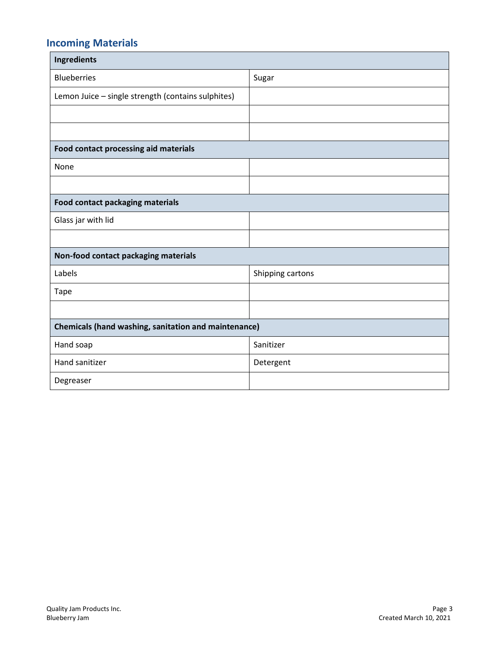### **Incoming Materials**

| <b>Ingredients</b>                                          |                  |  |  |
|-------------------------------------------------------------|------------------|--|--|
| <b>Blueberries</b>                                          | Sugar            |  |  |
| Lemon Juice - single strength (contains sulphites)          |                  |  |  |
|                                                             |                  |  |  |
|                                                             |                  |  |  |
| Food contact processing aid materials                       |                  |  |  |
| None                                                        |                  |  |  |
|                                                             |                  |  |  |
| Food contact packaging materials                            |                  |  |  |
| Glass jar with lid                                          |                  |  |  |
|                                                             |                  |  |  |
| Non-food contact packaging materials                        |                  |  |  |
| Labels                                                      | Shipping cartons |  |  |
| <b>Tape</b>                                                 |                  |  |  |
|                                                             |                  |  |  |
| <b>Chemicals (hand washing, sanitation and maintenance)</b> |                  |  |  |
| Hand soap                                                   | Sanitizer        |  |  |
| Hand sanitizer                                              | Detergent        |  |  |
| Degreaser                                                   |                  |  |  |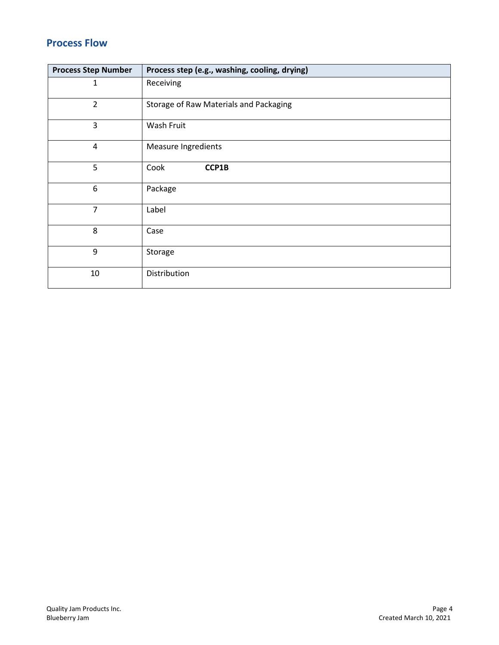#### **Process Flow**

| <b>Process Step Number</b> | Process step (e.g., washing, cooling, drying) |
|----------------------------|-----------------------------------------------|
| 1                          | Receiving                                     |
| $\overline{2}$             | Storage of Raw Materials and Packaging        |
| 3                          | Wash Fruit                                    |
| $\overline{4}$             | <b>Measure Ingredients</b>                    |
| 5                          | Cook<br>CCP1B                                 |
| 6                          | Package                                       |
| $\overline{7}$             | Label                                         |
| 8                          | Case                                          |
| 9                          | Storage                                       |
| 10                         | Distribution                                  |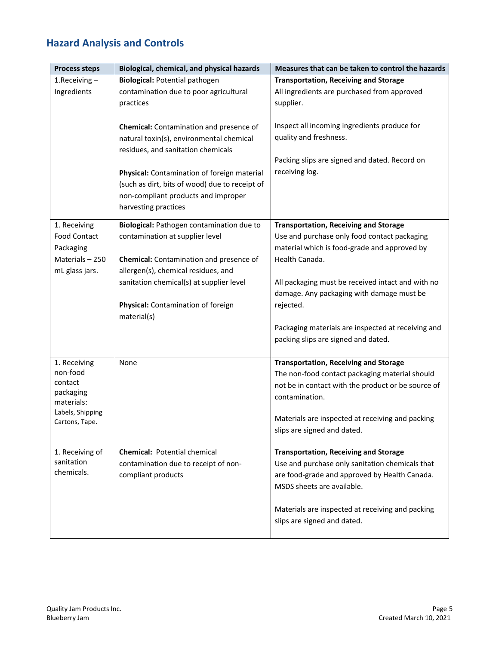### **Hazard Analysis and Controls**

| <b>Process steps</b> | Biological, chemical, and physical hazards     | Measures that can be taken to control the hazards  |  |  |
|----------------------|------------------------------------------------|----------------------------------------------------|--|--|
| $1.$ Receiving $-$   | <b>Biological: Potential pathogen</b>          | <b>Transportation, Receiving and Storage</b>       |  |  |
| Ingredients          | contamination due to poor agricultural         | All ingredients are purchased from approved        |  |  |
|                      | practices                                      | supplier.                                          |  |  |
|                      |                                                |                                                    |  |  |
|                      | <b>Chemical:</b> Contamination and presence of | Inspect all incoming ingredients produce for       |  |  |
|                      | natural toxin(s), environmental chemical       | quality and freshness.                             |  |  |
|                      | residues, and sanitation chemicals             |                                                    |  |  |
|                      |                                                | Packing slips are signed and dated. Record on      |  |  |
|                      | Physical: Contamination of foreign material    | receiving log.                                     |  |  |
|                      | (such as dirt, bits of wood) due to receipt of |                                                    |  |  |
|                      | non-compliant products and improper            |                                                    |  |  |
|                      | harvesting practices                           |                                                    |  |  |
| 1. Receiving         | Biological: Pathogen contamination due to      | <b>Transportation, Receiving and Storage</b>       |  |  |
| <b>Food Contact</b>  | contamination at supplier level                | Use and purchase only food contact packaging       |  |  |
| Packaging            |                                                | material which is food-grade and approved by       |  |  |
| Materials - 250      | Chemical: Contamination and presence of        | Health Canada.                                     |  |  |
| mL glass jars.       | allergen(s), chemical residues, and            |                                                    |  |  |
|                      | sanitation chemical(s) at supplier level       | All packaging must be received intact and with no  |  |  |
|                      |                                                | damage. Any packaging with damage must be          |  |  |
|                      | Physical: Contamination of foreign             | rejected.                                          |  |  |
|                      | material(s)                                    |                                                    |  |  |
|                      |                                                | Packaging materials are inspected at receiving and |  |  |
|                      |                                                | packing slips are signed and dated.                |  |  |
|                      |                                                |                                                    |  |  |
| 1. Receiving         | None                                           | <b>Transportation, Receiving and Storage</b>       |  |  |
| non-food<br>contact  |                                                | The non-food contact packaging material should     |  |  |
| packaging            |                                                | not be in contact with the product or be source of |  |  |
| materials:           |                                                | contamination.                                     |  |  |
| Labels, Shipping     |                                                | Materials are inspected at receiving and packing   |  |  |
| Cartons, Tape.       |                                                | slips are signed and dated.                        |  |  |
|                      |                                                |                                                    |  |  |
| 1. Receiving of      | <b>Chemical: Potential chemical</b>            | <b>Transportation, Receiving and Storage</b>       |  |  |
| sanitation           | contamination due to receipt of non-           | Use and purchase only sanitation chemicals that    |  |  |
| chemicals.           | compliant products                             | are food-grade and approved by Health Canada.      |  |  |
|                      |                                                | MSDS sheets are available.                         |  |  |
|                      |                                                |                                                    |  |  |
|                      |                                                | Materials are inspected at receiving and packing   |  |  |
|                      |                                                | slips are signed and dated.                        |  |  |
|                      |                                                |                                                    |  |  |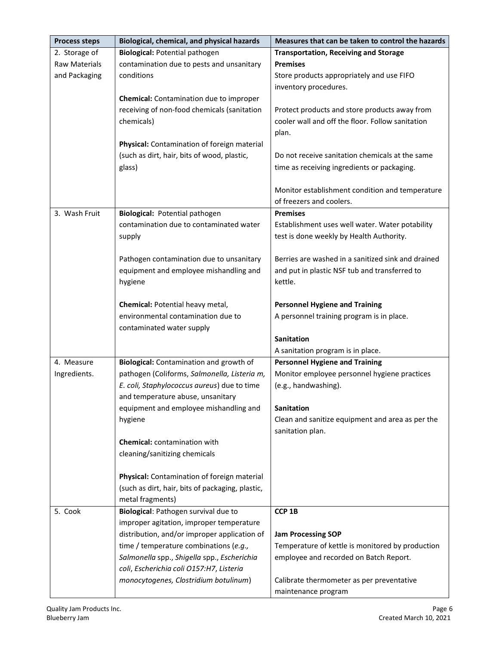| <b>Process steps</b> | Biological, chemical, and physical hazards                                         | Measures that can be taken to control the hazards  |  |  |
|----------------------|------------------------------------------------------------------------------------|----------------------------------------------------|--|--|
| 2. Storage of        | <b>Biological: Potential pathogen</b>                                              | <b>Transportation, Receiving and Storage</b>       |  |  |
| <b>Raw Materials</b> | contamination due to pests and unsanitary                                          | <b>Premises</b>                                    |  |  |
| and Packaging        | conditions                                                                         | Store products appropriately and use FIFO          |  |  |
|                      |                                                                                    | inventory procedures.                              |  |  |
|                      | Chemical: Contamination due to improper                                            |                                                    |  |  |
|                      | receiving of non-food chemicals (sanitation                                        | Protect products and store products away from      |  |  |
|                      | chemicals)                                                                         | cooler wall and off the floor. Follow sanitation   |  |  |
|                      |                                                                                    | plan.                                              |  |  |
|                      | Physical: Contamination of foreign material                                        |                                                    |  |  |
|                      | (such as dirt, hair, bits of wood, plastic,                                        | Do not receive sanitation chemicals at the same    |  |  |
|                      | glass)                                                                             | time as receiving ingredients or packaging.        |  |  |
|                      |                                                                                    |                                                    |  |  |
|                      |                                                                                    | Monitor establishment condition and temperature    |  |  |
|                      |                                                                                    | of freezers and coolers.                           |  |  |
| 3. Wash Fruit        | Biological: Potential pathogen                                                     | <b>Premises</b>                                    |  |  |
|                      | contamination due to contaminated water                                            | Establishment uses well water. Water potability    |  |  |
|                      | supply                                                                             | test is done weekly by Health Authority.           |  |  |
|                      |                                                                                    | Berries are washed in a sanitized sink and drained |  |  |
|                      | Pathogen contamination due to unsanitary<br>equipment and employee mishandling and | and put in plastic NSF tub and transferred to      |  |  |
|                      | hygiene                                                                            | kettle.                                            |  |  |
|                      |                                                                                    |                                                    |  |  |
|                      | Chemical: Potential heavy metal,                                                   | <b>Personnel Hygiene and Training</b>              |  |  |
|                      | environmental contamination due to                                                 | A personnel training program is in place.          |  |  |
|                      | contaminated water supply                                                          |                                                    |  |  |
|                      |                                                                                    | <b>Sanitation</b>                                  |  |  |
|                      |                                                                                    | A sanitation program is in place.                  |  |  |
| 4. Measure           | Biological: Contamination and growth of                                            | <b>Personnel Hygiene and Training</b>              |  |  |
| Ingredients.         | pathogen (Coliforms, Salmonella, Listeria m,                                       | Monitor employee personnel hygiene practices       |  |  |
|                      | E. coli, Staphylococcus aureus) due to time                                        | (e.g., handwashing).                               |  |  |
|                      | and temperature abuse, unsanitary                                                  |                                                    |  |  |
|                      | equipment and employee mishandling and                                             | <b>Sanitation</b>                                  |  |  |
|                      | hygiene                                                                            | Clean and sanitize equipment and area as per the   |  |  |
|                      | <b>Chemical:</b> contamination with                                                | sanitation plan.                                   |  |  |
|                      | cleaning/sanitizing chemicals                                                      |                                                    |  |  |
|                      |                                                                                    |                                                    |  |  |
|                      | Physical: Contamination of foreign material                                        |                                                    |  |  |
|                      | (such as dirt, hair, bits of packaging, plastic,                                   |                                                    |  |  |
|                      | metal fragments)                                                                   |                                                    |  |  |
| 5. Cook              | Biological: Pathogen survival due to                                               | CCP <sub>1B</sub>                                  |  |  |
|                      | improper agitation, improper temperature                                           |                                                    |  |  |
|                      | distribution, and/or improper application of                                       | <b>Jam Processing SOP</b>                          |  |  |
|                      | time / temperature combinations (e.g.,                                             | Temperature of kettle is monitored by production   |  |  |
|                      | Salmonella spp., Shigella spp., Escherichia                                        | employee and recorded on Batch Report.             |  |  |
|                      | coli, Escherichia coli O157:H7, Listeria                                           |                                                    |  |  |
|                      | monocytogenes, Clostridium botulinum)                                              | Calibrate thermometer as per preventative          |  |  |
|                      |                                                                                    | maintenance program                                |  |  |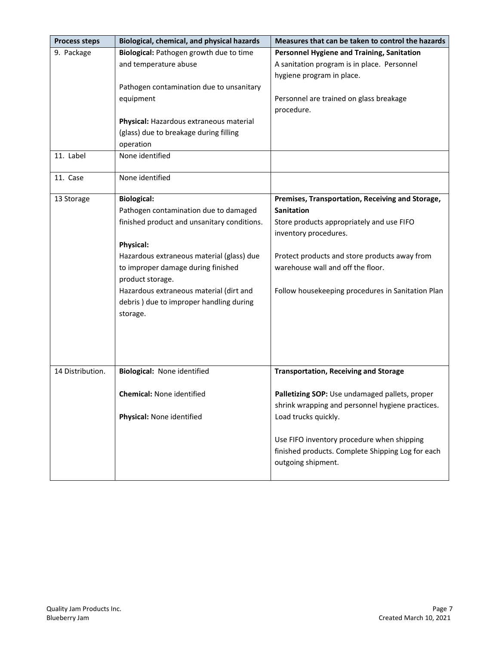| <b>Process steps</b> | Biological, chemical, and physical hazards  | Measures that can be taken to control the hazards |  |  |
|----------------------|---------------------------------------------|---------------------------------------------------|--|--|
| 9. Package           | Biological: Pathogen growth due to time     | Personnel Hygiene and Training, Sanitation        |  |  |
|                      | and temperature abuse                       | A sanitation program is in place. Personnel       |  |  |
|                      |                                             | hygiene program in place.                         |  |  |
|                      | Pathogen contamination due to unsanitary    |                                                   |  |  |
|                      | equipment                                   | Personnel are trained on glass breakage           |  |  |
|                      |                                             | procedure.                                        |  |  |
|                      | Physical: Hazardous extraneous material     |                                                   |  |  |
|                      | (glass) due to breakage during filling      |                                                   |  |  |
|                      | operation                                   |                                                   |  |  |
| 11. Label            | None identified                             |                                                   |  |  |
|                      |                                             |                                                   |  |  |
| 11. Case             | None identified                             |                                                   |  |  |
| 13 Storage           | <b>Biological:</b>                          | Premises, Transportation, Receiving and Storage,  |  |  |
|                      | Pathogen contamination due to damaged       | <b>Sanitation</b>                                 |  |  |
|                      | finished product and unsanitary conditions. | Store products appropriately and use FIFO         |  |  |
|                      |                                             | inventory procedures.                             |  |  |
|                      | <b>Physical:</b>                            |                                                   |  |  |
|                      | Hazardous extraneous material (glass) due   | Protect products and store products away from     |  |  |
|                      | to improper damage during finished          | warehouse wall and off the floor.                 |  |  |
|                      | product storage.                            |                                                   |  |  |
|                      | Hazardous extraneous material (dirt and     | Follow housekeeping procedures in Sanitation Plan |  |  |
|                      | debris) due to improper handling during     |                                                   |  |  |
|                      | storage.                                    |                                                   |  |  |
|                      |                                             |                                                   |  |  |
|                      |                                             |                                                   |  |  |
|                      |                                             |                                                   |  |  |
|                      |                                             |                                                   |  |  |
| 14 Distribution.     | Biological: None identified                 | <b>Transportation, Receiving and Storage</b>      |  |  |
|                      |                                             |                                                   |  |  |
|                      | <b>Chemical: None identified</b>            | Palletizing SOP: Use undamaged pallets, proper    |  |  |
|                      |                                             | shrink wrapping and personnel hygiene practices.  |  |  |
|                      | Physical: None identified                   | Load trucks quickly.                              |  |  |
|                      |                                             |                                                   |  |  |
|                      |                                             | Use FIFO inventory procedure when shipping        |  |  |
|                      |                                             | finished products. Complete Shipping Log for each |  |  |
|                      |                                             | outgoing shipment.                                |  |  |
|                      |                                             |                                                   |  |  |